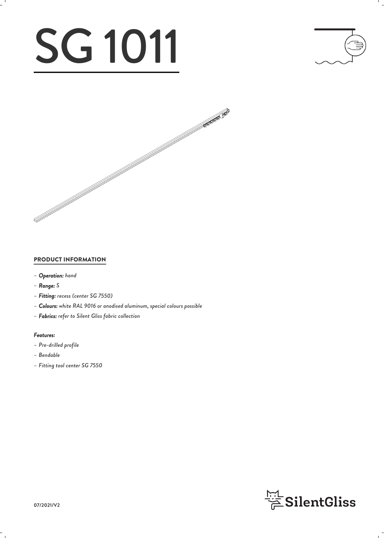# SG 1011





#### PRODUCT INFORMATION

- *– Operation: hand*
- *– Range: S*
- *– Fitting: recess (center SG 7550)*
- *– Colours: white RAL 9016 or anodised aluminum, special colours possible*
- *– Fabrics: refer to Silent Gliss fabric collection*

#### *Features:*

- *– Pre-drilled profile*
- *– Bendable*
- *– Fitting tool center SG 7550*

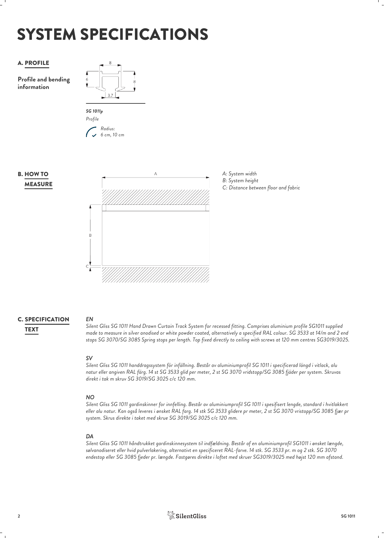# SYSTEM SPECIFICATIONS

#### A. PROFILE

**Profile and bending information**











### **C. SPECIFICATION** EN

*EN Silent Gliss SG 1011 Hand Drawn Curtain Track System for recessed fitting. Comprises aluminium profile SG1011 supplied made to measure in silver anodised or white powder coated, alternatively a specified RAL colour. SG 3533 at 14/m and 2 end* TEXT *stops SG 3070/SG 3085 Spring stops per length. Top fixed directly to ceiling with screws at 120 mm centres SG3019/3025.*

*SV Silent Gliss SG 1011 handdragssystem för infällning. Består av aluminiumprofil SG 1011 i specificerad längd i vitlack, alu natur eller angiven RAL färg. 14 st SG 3533 glid per meter, 2 st SG 3070 vridstopp/SG 3085 fjäder per system. Skruvas direkt i tak m skruv SG 3019/SG 3025 c/c 120 mm.*

*NO Silent Gliss SG 1011 gardinskinner for innfelling. Består av aluminiumprofil SG 1011 i spesifisert lengde, standard i hvitlakkert eller alu natur. Kan også leveres i ønsket RAL farg. 14 stk SG 3533 glidere pr meter, 2 st SG 3070 vristopp/SG 3085 fjær pr system. Skrus direkte i taket med skrue SG 3019/SG 3025 c/c 120 mm.*

#### *DA*

*Silent Gliss SG 1011 håndtrukket gardinskinnesystem til indfældning. Består af en aluminiumprofil SG1011 i ønsket længde, sølvanodiseret eller hvid pulverlakering, alternativt en specificeret RAL-farve. 14 stk. SG 3533 pr. m og 2 stk. SG 3070 endestop eller SG 3085 fjeder pr. længde. Fastgøres direkte i loftet med skruer SG3019/3025 med højst 120 mm afstand.*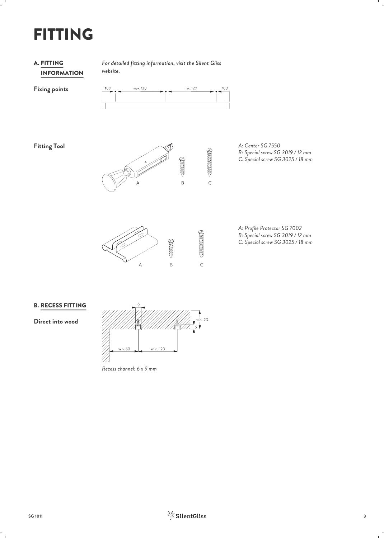# FITTING

#### INFORMATION **A. FITTING**

*For detailed fitting information, visit the Silent Gliss* FITTING *website.*







 $100$ 

**ANGELOROPOOL** 

 $\mathsf C$ 

**CONSCRUTE**  $\overline{B}$  $\overline{A}$ 

*A: Profile Protector SG 7002*

*B: Special screw SG 3019 / 12 mm*

*C: Special screw SG 3025 / 18 mm*

#### B. RECESS FITTING

**Direct into wood**



*Recess channel: 6 x 9 mm*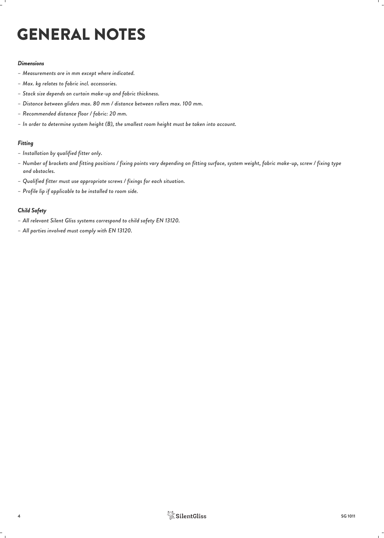# GENERAL NOTES

#### *Dimensions*

- *– Measurements are in mm except where indicated.*
- *– Max. kg relates to fabric incl. accessories.*
- *– Stack size depends on curtain make-up and fabric thickness.*
- *– Distance between gliders max. 80 mm / distance between rollers max. 100 mm.*
- *– Recommended distance floor / fabric: 20 mm.*
- *– In order to determine system height (B), the smallest room height must be taken into account.*

#### *Fitting*

- *– Installation by qualified fitter only.*
- *– Number of brackets and fitting positions / fixing points vary depending on fitting surface, system weight, fabric make-up, screw / fixing type and obstacles.*
- *– Qualified fitter must use appropriate screws / fixings for each situation.*
- *– Profile lip if applicable to be installed to room side.*

#### *Child Safety*

- *– All relevant Silent Gliss systems correspond to child safety EN 13120.*
- *– All parties involved must comply with EN 13120.*

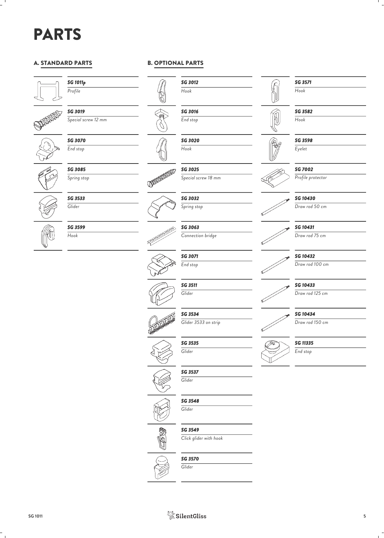# PARTS

#### A. STANDARD PARTS



#### *SG 1011p Profile*

*SG 3019 Special screw 12 mm*



*SG 3070 End stop*

**SG 3085**<br> *Spring stop*<br> *Spring stop Spring stop*



*SG 3599*

*SG 3533 Glider*

*Hook*

#### B. OPTIONAL PARTS

*Hook*

*SG 3016 End stop*

*SG 3020 Hook*

*SG 3025*

*SG 3032 Spring stop*

*Special screw 18 mm*









*SG 3063 Connection bridge*















## *Click glider with hook*



*Glider*





## *SG 3598*

*Eyelet*

*SG 3571 Hook*

*SG 3582 Hook*

## *SG 7002*

*Profile protector*



#### *SG 10430*

*Draw rod 50 cm*



## *SG 10431*

*Draw rod 75 cm*

## *SG 10432*

*Draw rod 100 cm*

#### *SG 10433*

*Draw rod 125 cm*

#### *SG 10434*

*Draw rod 150 cm*

#### *SG 11335*

*End stop*









*Glider*

*SG 3071 End stop*



*Glider 3533 on strip*

*SG 3535 Glider*

*SG 3537 Glider*

*SG 3548 Glider*

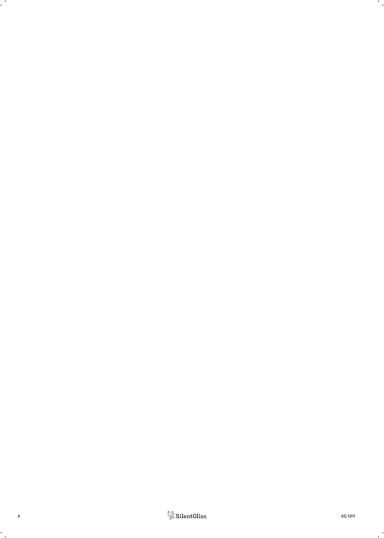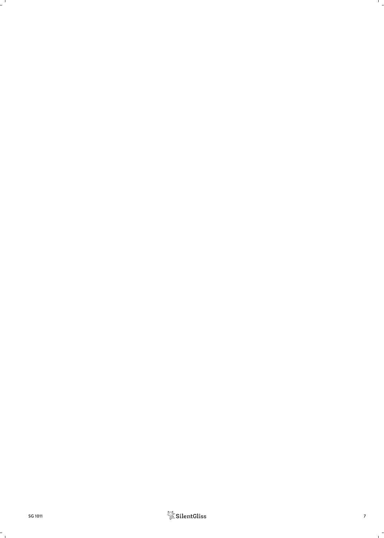